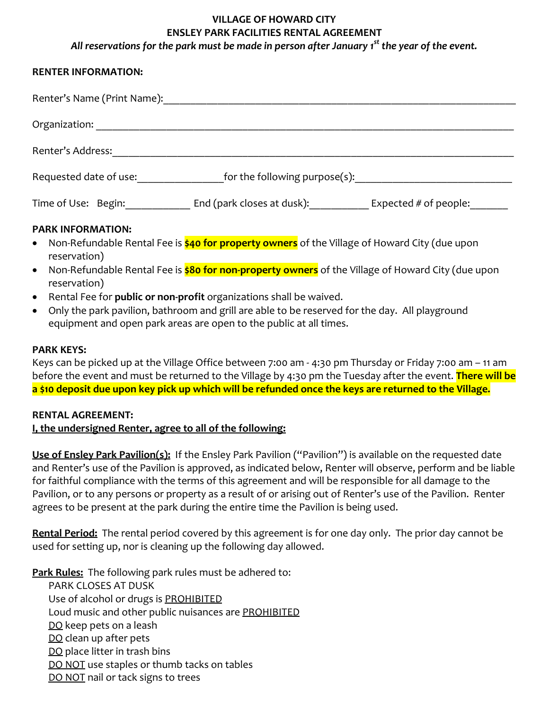# **VILLAGE OF HOWARD CITY ENSLEY PARK FACILITIES RENTAL AGREEMENT** *All reservations for the park must be made in person after January 1st the year of the event.*

#### **RENTER INFORMATION:**

| Renter's Name (Print Name): |                               |                         |
|-----------------------------|-------------------------------|-------------------------|
| Organization:               |                               |                         |
| Renter's Address:           |                               |                         |
| Requested date of use:      | for the following purpose(s): |                         |
| Time of Use: Begin:         | End (park closes at dusk):    | Expected $#$ of people: |
| <b>PARK INFORMATION:</b>    |                               |                         |

- Non-Refundable Rental Fee is **\$40 for property owners** of the Village of Howard City (due upon reservation)
- Non-Refundable Rental Fee is **\$80 for non-property owners** of the Village of Howard City (due upon reservation)
- Rental Fee for **public or non-profit** organizations shall be waived.
- Only the park pavilion, bathroom and grill are able to be reserved for the day. All playground equipment and open park areas are open to the public at all times.

### **PARK KEYS:**

Keys can be picked up at the Village Office between 7:00 am - 4:30 pm Thursday or Friday 7:00 am – 11 am before the event and must be returned to the Village by 4:30 pm the Tuesday after the event. **There will be a \$10 deposit due upon key pick up which will be refunded once the keys are returned to the Village.**

# **RENTAL AGREEMENT:**

# **I, the undersigned Renter, agree to all of the following:**

**Use of Ensley Park Pavilion(s):** If the Ensley Park Pavilion ("Pavilion") is available on the requested date and Renter's use of the Pavilion is approved, as indicated below, Renter will observe, perform and be liable for faithful compliance with the terms of this agreement and will be responsible for all damage to the Pavilion, or to any persons or property as a result of or arising out of Renter's use of the Pavilion. Renter agrees to be present at the park during the entire time the Pavilion is being used.

**Rental Period:** The rental period covered by this agreement is for one day only. The prior day cannot be used for setting up, nor is cleaning up the following day allowed.

**Park Rules:** The following park rules must be adhered to:

PARK CLOSES AT DUSK Use of alcohol or drugs is **PROHIBITED** Loud music and other public nuisances are PROHIBITED DO keep pets on a leash DO clean up after pets DO place litter in trash bins DO NOT use staples or thumb tacks on tables DO NOT nail or tack signs to trees